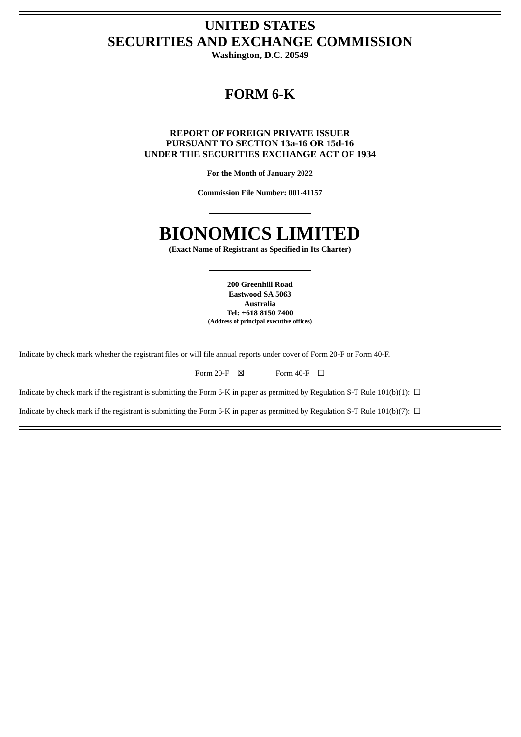# **UNITED STATES SECURITIES AND EXCHANGE COMMISSION**

**Washington, D.C. 20549**

# **FORM 6-K**

**REPORT OF FOREIGN PRIVATE ISSUER PURSUANT TO SECTION 13a-16 OR 15d-16 UNDER THE SECURITIES EXCHANGE ACT OF 1934**

**For the Month of January 2022**

**Commission File Number: 001-41157**

# **BIONOMICS LIMITED**

**(Exact Name of Registrant as Specified in Its Charter)**

**200 Greenhill Road Eastwood SA 5063 Australia Tel: +618 8150 7400 (Address of principal executive offices)**

Indicate by check mark whether the registrant files or will file annual reports under cover of Form 20-F or Form 40-F.

|  | Form $20-F$ |  | Form $40-F$ |  |
|--|-------------|--|-------------|--|
|--|-------------|--|-------------|--|

Indicate by check mark if the registrant is submitting the Form 6-K in paper as permitted by Regulation S-T Rule 101(b)(1):  $\Box$ 

Indicate by check mark if the registrant is submitting the Form 6-K in paper as permitted by Regulation S-T Rule 101(b)(7):  $\Box$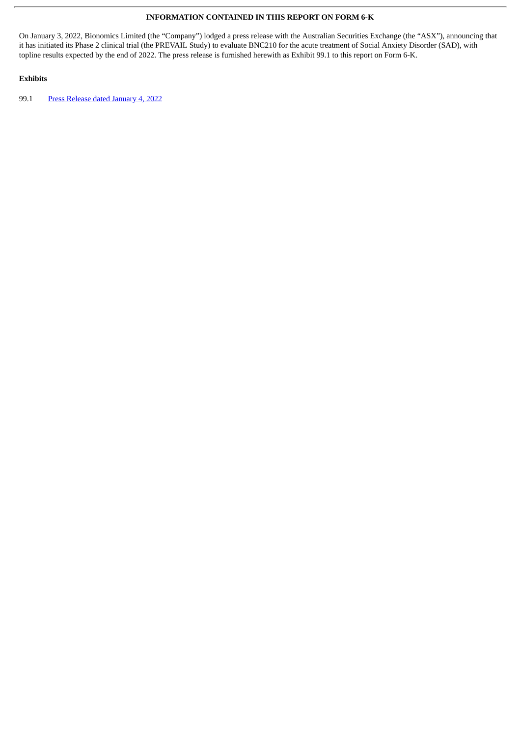## **INFORMATION CONTAINED IN THIS REPORT ON FORM 6-K**

On January 3, 2022, Bionomics Limited (the "Company") lodged a press release with the Australian Securities Exchange (the "ASX"), announcing that it has initiated its Phase 2 clinical trial (the PREVAIL Study) to evaluate BNC210 for the acute treatment of Social Anxiety Disorder (SAD), with topline results expected by the end of 2022. The press release is furnished herewith as Exhibit 99.1 to this report on Form 6-K.

# **Exhibits**

99.1 Press Release dated [January](#page-3-0) 4, 2022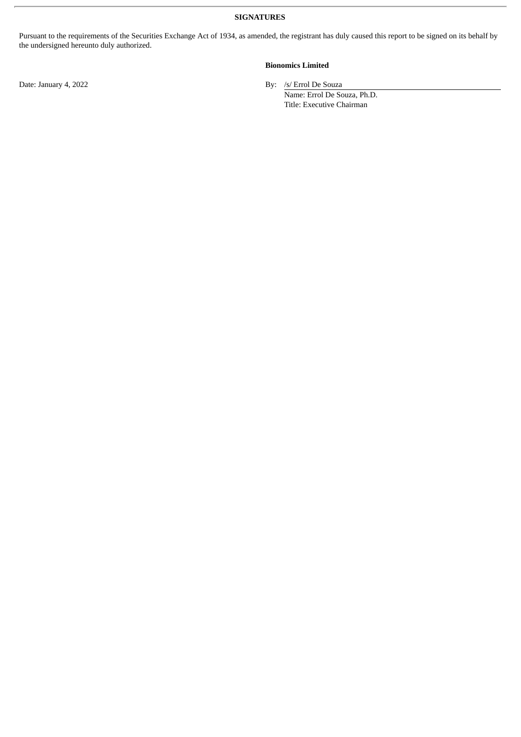**SIGNATURES**

Pursuant to the requirements of the Securities Exchange Act of 1934, as amended, the registrant has duly caused this report to be signed on its behalf by the undersigned hereunto duly authorized.

# **Bionomics Limited**

Date: January 4, 2022 By: /s/ Errol De Souza

Name: Errol De Souza, Ph.D. Title: Executive Chairman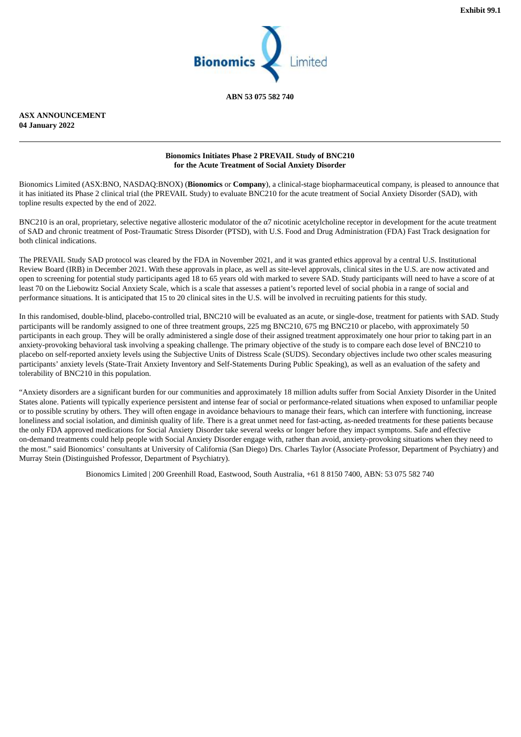

**ABN 53 075 582 740**

<span id="page-3-0"></span>**ASX ANNOUNCEMENT 04 January 2022**

#### **Bionomics Initiates Phase 2 PREVAIL Study of BNC210 for the Acute Treatment of Social Anxiety Disorder**

Bionomics Limited (ASX:BNO, NASDAQ:BNOX) (**Bionomics** or **Company**), a clinical-stage biopharmaceutical company, is pleased to announce that it has initiated its Phase 2 clinical trial (the PREVAIL Study) to evaluate BNC210 for the acute treatment of Social Anxiety Disorder (SAD), with topline results expected by the end of 2022.

BNC210 is an oral, proprietary, selective negative allosteric modulator of the  $\alpha$ 7 nicotinic acetylcholine receptor in development for the acute treatment of SAD and chronic treatment of Post-Traumatic Stress Disorder (PTSD), with U.S. Food and Drug Administration (FDA) Fast Track designation for both clinical indications.

The PREVAIL Study SAD protocol was cleared by the FDA in November 2021, and it was granted ethics approval by a central U.S. Institutional Review Board (IRB) in December 2021. With these approvals in place, as well as site-level approvals, clinical sites in the U.S. are now activated and open to screening for potential study participants aged 18 to 65 years old with marked to severe SAD. Study participants will need to have a score of at least 70 on the Liebowitz Social Anxiety Scale, which is a scale that assesses a patient's reported level of social phobia in a range of social and performance situations. It is anticipated that 15 to 20 clinical sites in the U.S. will be involved in recruiting patients for this study.

In this randomised, double-blind, placebo-controlled trial, BNC210 will be evaluated as an acute, or single-dose, treatment for patients with SAD. Study participants will be randomly assigned to one of three treatment groups, 225 mg BNC210, 675 mg BNC210 or placebo, with approximately 50 participants in each group. They will be orally administered a single dose of their assigned treatment approximately one hour prior to taking part in an anxiety-provoking behavioral task involving a speaking challenge. The primary objective of the study is to compare each dose level of BNC210 to placebo on self-reported anxiety levels using the Subjective Units of Distress Scale (SUDS). Secondary objectives include two other scales measuring participants' anxiety levels (State-Trait Anxiety Inventory and Self-Statements During Public Speaking), as well as an evaluation of the safety and tolerability of BNC210 in this population.

"Anxiety disorders are a significant burden for our communities and approximately 18 million adults suffer from Social Anxiety Disorder in the United States alone. Patients will typically experience persistent and intense fear of social or performance-related situations when exposed to unfamiliar people or to possible scrutiny by others. They will often engage in avoidance behaviours to manage their fears, which can interfere with functioning, increase loneliness and social isolation, and diminish quality of life. There is a great unmet need for fast-acting, as-needed treatments for these patients because the only FDA approved medications for Social Anxiety Disorder take several weeks or longer before they impact symptoms. Safe and effective on-demand treatments could help people with Social Anxiety Disorder engage with, rather than avoid, anxiety-provoking situations when they need to the most." said Bionomics' consultants at University of California (San Diego) Drs. Charles Taylor (Associate Professor, Department of Psychiatry) and Murray Stein (Distinguished Professor, Department of Psychiatry).

Bionomics Limited | 200 Greenhill Road, Eastwood, South Australia, +61 8 8150 7400, ABN: 53 075 582 740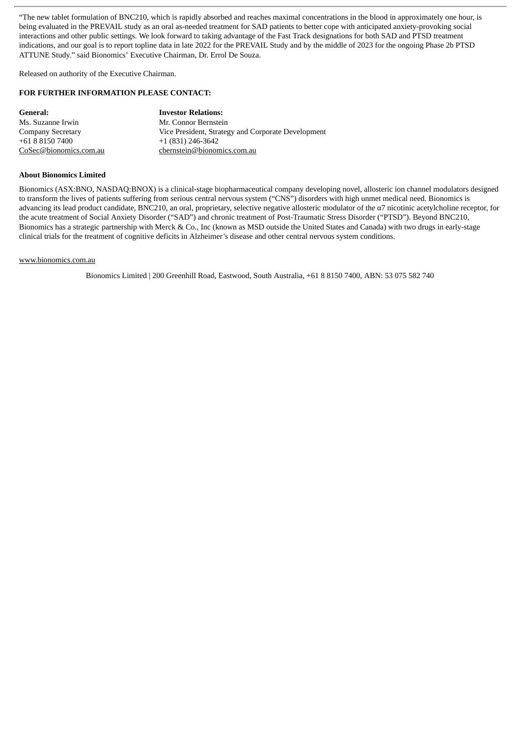"The new tablet formulation of BNC210, which is rapidly absorbed and reaches maximal concentrations in the blood in approximately one hour, is being evaluated in the PREVAIL study as an oral as-needed treatment for SAD patients to better cope with anticipated anxiety-provoking social interactions and other public settings. We look forward to taking advantage of the Fast Track designations for both SAD and PTSD treatment indications, and our goal is to report topline data in late 2022 for the PREVAIL Study and by the middle of 2023 for the ongoing Phase 2b PTSD ATTUNE Study." said Bionomics' Executive Chairman, Dr. Errol De Souza.

Released on authority of the Executive Chairman.

#### **FOR FURTHER INFORMATION PLEASE CONTACT:**

| General:               | <b>Investor Relations:</b>                         |  |
|------------------------|----------------------------------------------------|--|
| Ms. Suzanne Irwin      | Mr. Connor Bernstein                               |  |
| Company Secretary      | Vice President, Strategy and Corporate Development |  |
| +61 8 8150 7400        | +1 (831) 246-3642                                  |  |
| CoSec@bionomics.com.au | cbernstein@bionomics.com.au                        |  |

#### **About Bionomics Limited**

Bionomics (ASX:BNO, NASDAQ:BNOX) is a clinical-stage biopharmaceutical company developing novel, allosteric ion channel modulators designed to transform the lives of patients suffering from serious central nervous system ("CNS") disorders with high unmet medical need. Bionomics is advancing its lead product candidate, BNC210, an oral, proprietary, selective negative allosteric modulator of the  $\alpha$ 7 nicotinic acetylcholine receptor, for the acute treatment of Social Anxiety Disorder ("SAD") and chronic treatment of Post-Traumatic Stress Disorder ("PTSD"). Beyond BNC210, Bionomics has a strategic partnership with Merck & Co., Inc (known as MSD outside the United States and Canada) with two drugs in early-stage clinical trials for the treatment of cognitive deficits in Alzheimer's disease and other central nervous system conditions.

#### www.bionomics.com.au

Bionomics Limited | 200 Greenhill Road, Eastwood, South Australia, +61 8 8150 7400, ABN: 53 075 582 740